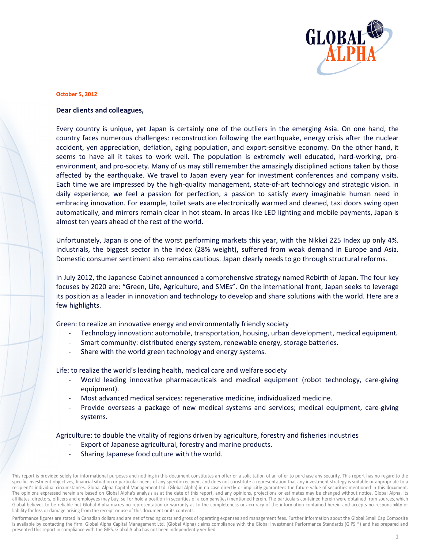

## **October 5, 2012**

## Dear clients and colleagues,

Every country is unique, yet Japan is certainly one of the outliers in the emerging Asia. On one hand, the country faces numerous challenges: reconstruction following the earthquake, energy crisis after the nuclear accident, yen appreciation, deflation, aging population, and export-sensitive economy. On the other hand, it seems to have all it takes to work well. The population is extremely well educated, hard-working, proenvironment, and pro-society. Many of us may still remember the amazingly disciplined actions taken by those affected by the earthquake. We travel to Japan every year for investment conferences and company visits. Each time we are impressed by the high-quality management, state-of-art technology and strategic vision. In daily experience, we feel a passion for perfection, a passion to satisfy every imaginable human need in embracing innovation. For example, toilet seats are electronically warmed and cleaned, taxi doors swing open automatically, and mirrors remain clear in hot steam. In areas like LED lighting and mobile payments, Japan is almost ten years ahead of the rest of the world.

Unfortunately, Japan is one of the worst performing markets this year, with the Nikkei 225 Index up only 4%. Industrials, the biggest sector in the index (28% weight), suffered from weak demand in Europe and Asia. Domestic consumer sentiment also remains cautious. Japan clearly needs to go through structural reforms.

In July 2012, the Japanese Cabinet announced a comprehensive strategy named Rebirth of Japan. The four key focuses by 2020 are: "Green, Life, Agriculture, and SMEs". On the international front, Japan seeks to leverage its position as a leader in innovation and technology to develop and share solutions with the world. Here are a few highlights.

Green: to realize an innovative energy and environmentally friendly society

- Technology innovation: automobile, transportation, housing, urban development, medical equipment.
- Smart community: distributed energy system, renewable energy, storage batteries.
- Share with the world green technology and energy systems.

Life: to realize the world's leading health, medical care and welfare society

- World leading innovative pharmaceuticals and medical equipment (robot technology, care-giving equipment).
- Most advanced medical services: regenerative medicine, individualized medicine.
- Provide overseas a package of new medical systems and services; medical equipment, care-giving systems.

Agriculture: to double the vitality of regions driven by agriculture, forestry and fisheries industries

- Export of Japanese agricultural, forestry and marine products.
- Sharing Japanese food culture with the world.

Performance figures are stated in Canadian dollars and are net of trading costs and gross of operating expenses and management fees. Further information about the Global Small Cap Composite is available by contacting the firm. Global Alpha Capital Management Ltd. (Global Alpha) claims compliance with the Global Investment Performance Standards (GIPS ®) and has prepared and presented this report in compliance with the GIPS. Global Alpha has not been independently verified.

This report is provided solely for informational purposes and nothing in this document constitutes an offer or a solicitation of an offer to purchase any security. This report has no regard to the specific investment objectives, financial situation or particular needs of any specific recipient and does not constitute a representation that any investment strategy is suitable or appropriate to a recipient's individual circumstances. Global Alpha Capital Management Ltd. (Global Alpha) in no case directly or implicitly guarantees the future value of securities mentioned in this document. The opinions expressed herein are based on Global Alpha's analysis as at the date of this report, and any opinions, projections or estimates may be changed without notice. Global Alpha, its affiliates, directors, officers and employees may buy, sell or hold a position in securities of a company(ies) mentioned herein. The particulars contained herein were obtained from sources, which Global believes to be reliable but Global Alpha makes no representation or warranty as to the completeness or accuracy of the information contained herein and accepts no responsibility or liability for loss or damage arising from the receipt or use of this document or its contents.